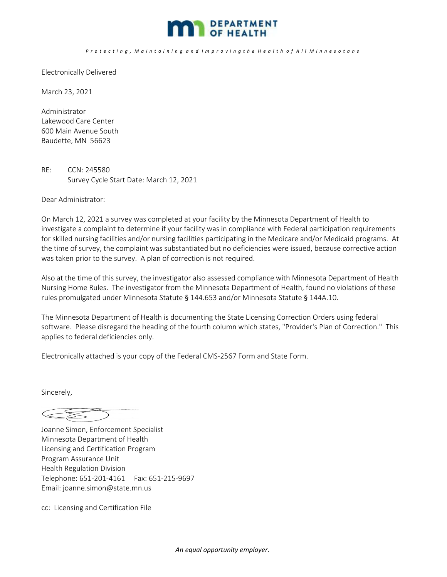

## Protecting, Maintaining and Improving the Health of All Minnesotans

Electronically Delivered

March 23, 2021

Administrator Lakewood Care Center 600 Main Avenue South Baudette, MN 56623

RE: CCN: 245580 Survey Cycle Start Date: March 12, 2021

Dear Administrator:

On March 12, 2021 a survey was completed at your facility by the Minnesota Department of Health to investigate a complaint to determine if your facility was in compliance with Federal participation requirements for skilled nursing facilities and/or nursing facilities participating in the Medicare and/or Medicaid programs. At the time of survey, the complaint was substantiated but no deficiencies were issued, because corrective action was taken prior to the survey. A plan of correction is not required.

Also at the time of this survey, the investigator also assessed compliance with Minnesota Department of Health Nursing Home Rules. The investigator from the Minnesota Department of Health, found no violations of these rules promulgated under Minnesota Statute § 144.653 and/or Minnesota Statute § 144A.10.

The Minnesota Department of Health is documenting the State Licensing Correction Orders using federal software. Please disregard the heading of the fourth column which states, "Provider's Plan of Correction." This applies to federal deficiencies only.

Electronically attached is your copy of the Federal CMS‐2567 Form and State Form.

Sincerely,

 $\begin{picture}(420,40) \put(0,0){\dashbox{0.5}(40,0){ }} \put(15,0){\circle{10}} \put(15,0){\circle{10}} \put(15,0){\circle{10}} \put(15,0){\circle{10}} \put(15,0){\circle{10}} \put(15,0){\circle{10}} \put(15,0){\circle{10}} \put(15,0){\circle{10}} \put(15,0){\circle{10}} \put(15,0){\circle{10}} \put(15,0){\circle{10}} \put(15,0){\circle{10}} \put(15,0){\circle{10}} \put(15$ 

Joanne Simon, Enforcement Specialist Minnesota Department of Health Licensing and Certification Program Program Assurance Unit Health Regulation Division Telephone: 651‐201‐4161 Fax: 651‐215‐9697 Email: joanne.simon@state.mn.us

cc: Licensing and Certification File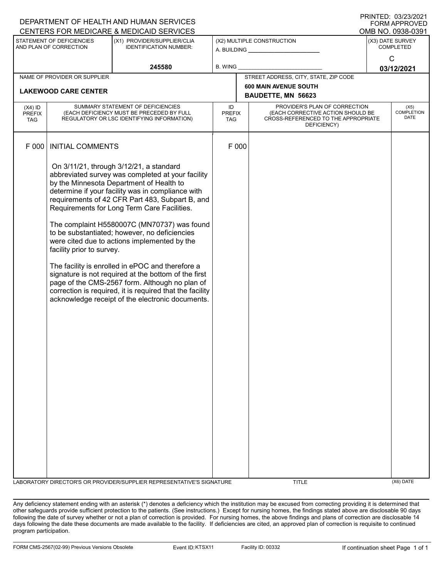| I INITILD. 00/L0/L02 I<br>DEPARTMENT OF HEALTH AND HUMAN SERVICES |                                                                                                                              |                                                                                                                                                                                                                                                                                                                                                                                                                                                                                                                                                                                                                                                                                                                               |                            |                      |                                                                                                                          |                                      | <b>FORM APPROVED</b>                     |
|-------------------------------------------------------------------|------------------------------------------------------------------------------------------------------------------------------|-------------------------------------------------------------------------------------------------------------------------------------------------------------------------------------------------------------------------------------------------------------------------------------------------------------------------------------------------------------------------------------------------------------------------------------------------------------------------------------------------------------------------------------------------------------------------------------------------------------------------------------------------------------------------------------------------------------------------------|----------------------------|----------------------|--------------------------------------------------------------------------------------------------------------------------|--------------------------------------|------------------------------------------|
| CENTERS FOR MEDICARE & MEDICAID SERVICES<br>OMB NO. 0938-0391     |                                                                                                                              |                                                                                                                                                                                                                                                                                                                                                                                                                                                                                                                                                                                                                                                                                                                               |                            |                      |                                                                                                                          |                                      |                                          |
| STATEMENT OF DEFICIENCIES<br>AND PLAN OF CORRECTION               |                                                                                                                              | (X1) PROVIDER/SUPPLIER/CLIA<br><b>IDENTIFICATION NUMBER:</b>                                                                                                                                                                                                                                                                                                                                                                                                                                                                                                                                                                                                                                                                  | (X2) MULTIPLE CONSTRUCTION |                      |                                                                                                                          | (X3) DATE SURVEY<br><b>COMPLETED</b> |                                          |
| 245580                                                            |                                                                                                                              | B. WING                                                                                                                                                                                                                                                                                                                                                                                                                                                                                                                                                                                                                                                                                                                       |                            |                      | C<br>03/12/2021                                                                                                          |                                      |                                          |
|                                                                   | NAME OF PROVIDER OR SUPPLIER                                                                                                 |                                                                                                                                                                                                                                                                                                                                                                                                                                                                                                                                                                                                                                                                                                                               |                            |                      | STREET ADDRESS, CITY, STATE, ZIP CODE                                                                                    |                                      |                                          |
|                                                                   | <b>LAKEWOOD CARE CENTER</b>                                                                                                  |                                                                                                                                                                                                                                                                                                                                                                                                                                                                                                                                                                                                                                                                                                                               |                            |                      | <b>600 MAIN AVENUE SOUTH</b><br>BAUDETTE, MN 56623                                                                       |                                      |                                          |
|                                                                   |                                                                                                                              |                                                                                                                                                                                                                                                                                                                                                                                                                                                                                                                                                                                                                                                                                                                               | ID                         |                      |                                                                                                                          |                                      |                                          |
| $(X4)$ ID<br><b>PREFIX</b><br>TAG                                 | SUMMARY STATEMENT OF DEFICIENCIES<br>(EACH DEFICIENCY MUST BE PRECEDED BY FULL<br>REGULATORY OR LSC IDENTIFYING INFORMATION) |                                                                                                                                                                                                                                                                                                                                                                                                                                                                                                                                                                                                                                                                                                                               |                            | <b>PREFIX</b><br>TAG | PROVIDER'S PLAN OF CORRECTION<br>(EACH CORRECTIVE ACTION SHOULD BE<br>CROSS-REFERENCED TO THE APPROPRIATE<br>DEFICIENCY) |                                      | (X5)<br><b>COMPLETION</b><br><b>DATE</b> |
| F 000                                                             | <b>INITIAL COMMENTS</b>                                                                                                      |                                                                                                                                                                                                                                                                                                                                                                                                                                                                                                                                                                                                                                                                                                                               | F 000                      |                      |                                                                                                                          |                                      |                                          |
|                                                                   | facility prior to survey.                                                                                                    | On 3/11/21, through 3/12/21, a standard<br>abbreviated survey was completed at your facility<br>by the Minnesota Department of Health to<br>determine if your facility was in compliance with<br>requirements of 42 CFR Part 483, Subpart B, and<br>Requirements for Long Term Care Facilities.<br>The complaint H5580007C (MN70737) was found<br>to be substantiated; however, no deficiencies<br>were cited due to actions implemented by the<br>The facility is enrolled in ePOC and therefore a<br>signature is not required at the bottom of the first<br>page of the CMS-2567 form. Although no plan of<br>correction is required, it is required that the facility<br>acknowledge receipt of the electronic documents. |                            |                      |                                                                                                                          |                                      |                                          |
|                                                                   |                                                                                                                              | LABORATORY DIRECTOR'S OR PROVIDER/SUPPLIER REPRESENTATIVE'S SIGNATURE                                                                                                                                                                                                                                                                                                                                                                                                                                                                                                                                                                                                                                                         |                            |                      | <b>TITLE</b>                                                                                                             |                                      | (X6) DATE                                |

Any deficiency statement ending with an asterisk (\*) denotes a deficiency which the institution may be excused from correcting providing it is determined that other safeguards provide sufficient protection to the patients. (See instructions.) Except for nursing homes, the findings stated above are disclosable 90 days following the date of survey whether or not a plan of correction is provided. For nursing homes, the above findings and plans of correction are disclosable 14 days following the date these documents are made available to the facility. If deficiencies are cited, an approved plan of correction is requisite to continued program participation.

PRINTED: 03/23/2021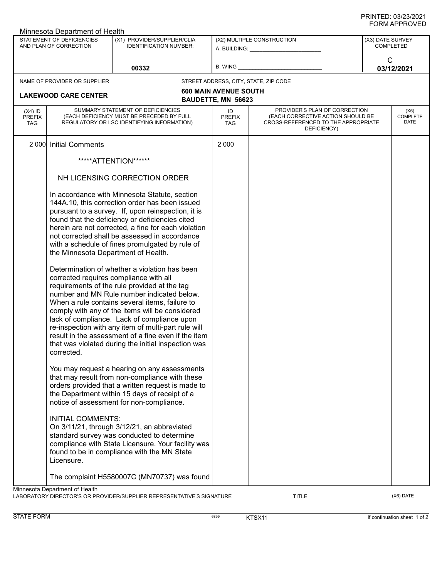| Minnesota Department of Health                      |                                                                                                                                                                                                                                                                                                                                                                                                                                                             |                                                                                                                                                                                                                                                                                                                                                                                                                     |                                                    |                                                                                                                          |                               |                                 |  |
|-----------------------------------------------------|-------------------------------------------------------------------------------------------------------------------------------------------------------------------------------------------------------------------------------------------------------------------------------------------------------------------------------------------------------------------------------------------------------------------------------------------------------------|---------------------------------------------------------------------------------------------------------------------------------------------------------------------------------------------------------------------------------------------------------------------------------------------------------------------------------------------------------------------------------------------------------------------|----------------------------------------------------|--------------------------------------------------------------------------------------------------------------------------|-------------------------------|---------------------------------|--|
| STATEMENT OF DEFICIENCIES<br>AND PLAN OF CORRECTION |                                                                                                                                                                                                                                                                                                                                                                                                                                                             | (X1) PROVIDER/SUPPLIER/CLIA<br><b>IDENTIFICATION NUMBER:</b>                                                                                                                                                                                                                                                                                                                                                        |                                                    | (X2) MULTIPLE CONSTRUCTION<br>A. BUILDING: A. BUILDING:                                                                  | (X3) DATE SURVEY<br>COMPLETED |                                 |  |
| 00332                                               |                                                                                                                                                                                                                                                                                                                                                                                                                                                             | B. WING                                                                                                                                                                                                                                                                                                                                                                                                             |                                                    | $\mathsf{C}$<br>03/12/2021                                                                                               |                               |                                 |  |
|                                                     | NAME OF PROVIDER OR SUPPLIER                                                                                                                                                                                                                                                                                                                                                                                                                                |                                                                                                                                                                                                                                                                                                                                                                                                                     |                                                    | STREET ADDRESS, CITY, STATE, ZIP CODE                                                                                    |                               |                                 |  |
|                                                     | <b>LAKEWOOD CARE CENTER</b>                                                                                                                                                                                                                                                                                                                                                                                                                                 |                                                                                                                                                                                                                                                                                                                                                                                                                     | <b>600 MAIN AVENUE SOUTH</b><br>BAUDETTE, MN 56623 |                                                                                                                          |                               |                                 |  |
| $(X4)$ ID<br><b>PREFIX</b><br><b>TAG</b>            | SUMMARY STATEMENT OF DEFICIENCIES<br>(EACH DEFICIENCY MUST BE PRECEDED BY FULL<br>REGULATORY OR LSC IDENTIFYING INFORMATION)                                                                                                                                                                                                                                                                                                                                |                                                                                                                                                                                                                                                                                                                                                                                                                     | ID<br><b>PREFIX</b><br><b>TAG</b>                  | PROVIDER'S PLAN OF CORRECTION<br>(EACH CORRECTIVE ACTION SHOULD BE<br>CROSS-REFERENCED TO THE APPROPRIATE<br>DEFICIENCY) |                               | (X5)<br><b>COMPLETE</b><br>DATE |  |
| 2 000                                               | <b>Initial Comments</b>                                                                                                                                                                                                                                                                                                                                                                                                                                     |                                                                                                                                                                                                                                                                                                                                                                                                                     | 2 0 0 0                                            |                                                                                                                          |                               |                                 |  |
|                                                     |                                                                                                                                                                                                                                                                                                                                                                                                                                                             | *****ATTENTION******                                                                                                                                                                                                                                                                                                                                                                                                |                                                    |                                                                                                                          |                               |                                 |  |
|                                                     | NH LICENSING CORRECTION ORDER                                                                                                                                                                                                                                                                                                                                                                                                                               |                                                                                                                                                                                                                                                                                                                                                                                                                     |                                                    |                                                                                                                          |                               |                                 |  |
|                                                     | In accordance with Minnesota Statute, section<br>144A.10, this correction order has been issued<br>pursuant to a survey. If, upon reinspection, it is<br>found that the deficiency or deficiencies cited<br>herein are not corrected, a fine for each violation<br>not corrected shall be assessed in accordance<br>with a schedule of fines promulgated by rule of<br>the Minnesota Department of Health.<br>Determination of whether a violation has been |                                                                                                                                                                                                                                                                                                                                                                                                                     |                                                    |                                                                                                                          |                               |                                 |  |
|                                                     | corrected requires compliance with all<br>corrected.                                                                                                                                                                                                                                                                                                                                                                                                        | requirements of the rule provided at the tag<br>number and MN Rule number indicated below.<br>When a rule contains several items, failure to<br>comply with any of the items will be considered<br>lack of compliance. Lack of compliance upon<br>re-inspection with any item of multi-part rule will<br>result in the assessment of a fine even if the item<br>that was violated during the initial inspection was |                                                    |                                                                                                                          |                               |                                 |  |
|                                                     |                                                                                                                                                                                                                                                                                                                                                                                                                                                             | You may request a hearing on any assessments<br>that may result from non-compliance with these<br>orders provided that a written request is made to<br>the Department within 15 days of receipt of a<br>notice of assessment for non-compliance.                                                                                                                                                                    |                                                    |                                                                                                                          |                               |                                 |  |
|                                                     | <b>INITIAL COMMENTS:</b><br>Licensure.                                                                                                                                                                                                                                                                                                                                                                                                                      | On 3/11/21, through 3/12/21, an abbreviated<br>standard survey was conducted to determine<br>compliance with State Licensure. Your facility was<br>found to be in compliance with the MN State                                                                                                                                                                                                                      |                                                    |                                                                                                                          |                               |                                 |  |
|                                                     |                                                                                                                                                                                                                                                                                                                                                                                                                                                             | The complaint H5580007C (MN70737) was found                                                                                                                                                                                                                                                                                                                                                                         |                                                    |                                                                                                                          |                               |                                 |  |
|                                                     | Minnesota Department of Health                                                                                                                                                                                                                                                                                                                                                                                                                              |                                                                                                                                                                                                                                                                                                                                                                                                                     |                                                    |                                                                                                                          |                               |                                 |  |

LABORATORY DIRECTOR'S OR PROVIDER/SUPPLIER REPRESENTATIVE'S SIGNATURE TITLE TITLE THE CONSERVATION OF THE CONST